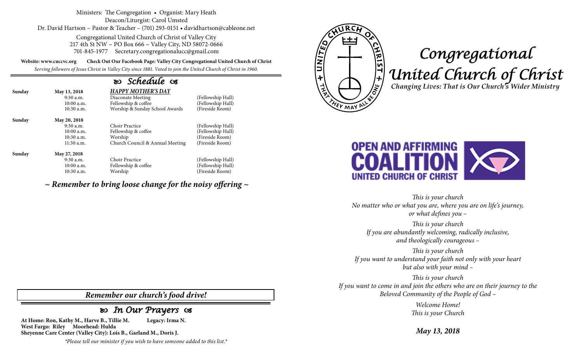Ministers: The Congregation • Organist: Mary Heath Deacon/Liturgist: Carol Umsted Dr. David Hartson ~ Pastor & Teacher – (701) 293-0151 • davidhartson@cableone.net

> Congregational United Church of Christ of Valley City 217 4th St NW ~ PO Box 666 ~ Valley City, ND 58072-0666 701-845-1977 Secretary.congregationalucc@gmail.com

**Website: www.cuccvc.org Check Out Our Facebook Page: Valley City Congregational United Church of Christ**

*Serving followers of Jesus Christ in Valley City since 1881. Voted to join the United Church of Christ in 1960.*

## *Schedule*

| Sunday | May 13, 2018<br>$9:30$ a.m.<br>10:00a.m.<br>$10:30$ a.m.                 | <b>HAPPY MOTHER'S DAY</b><br>Diaconate Meeting<br>Fellowship & coffee<br>Worship & Sunday School Awards | (Fellowship Hall)<br>(Fellowship Hall)<br>(Fireside Room)                    |
|--------|--------------------------------------------------------------------------|---------------------------------------------------------------------------------------------------------|------------------------------------------------------------------------------|
| Sunday | May 20, 2018<br>$9:30$ a.m.<br>10:00a.m.<br>$10:30$ a.m.<br>$11:30$ a.m. | Choir Practice<br>Fellowship & coffee<br>Worship<br>Church Council & Annual Meeting                     | (Fellowship Hall)<br>(Fellowship Hall)<br>(Fireside Room)<br>(Fireside Room) |
| Sunday | May 27, 2018<br>$9:30$ a.m.<br>$10:00$ a.m.<br>$10:30$ a.m.              | Choir Practice<br>Fellowship & coffee<br>Worship                                                        | (Fellowship Hall)<br>(Fellowship Hall)<br>(Fireside Room)                    |

*~ Remember to bring loose change for the noisy offering ~*



## *Congregational United Church of Christ Changing Lives: That is Our Church's Wider Ministry*



*This is your church No matter who or what you are, where you are on life's journey, or what defines you –*

*This is your church If you are abundantly welcoming, radically inclusive, and theologically courageous –*

*This is your church If you want to understand your faith not only with your heart but also with your mind –*

*This is your church If you want to come in and join the others who are on their journey to the Beloved Community of the People of God –*

> *Welcome Home! This is your Church*

*May 13, 2018*

*Remember our church's food drive!*

## *In Our Prayers*

**At Home: Ron, Kathy M., Harve B., Tillie M. Legacy: Irma N. West Fargo: Riley Moorhead: Hulda Sheyenne Care Center (Valley City): Lois B., Garland M., Doris J.**

*\*Please tell our minister if you wish to have someone added to this list.\**